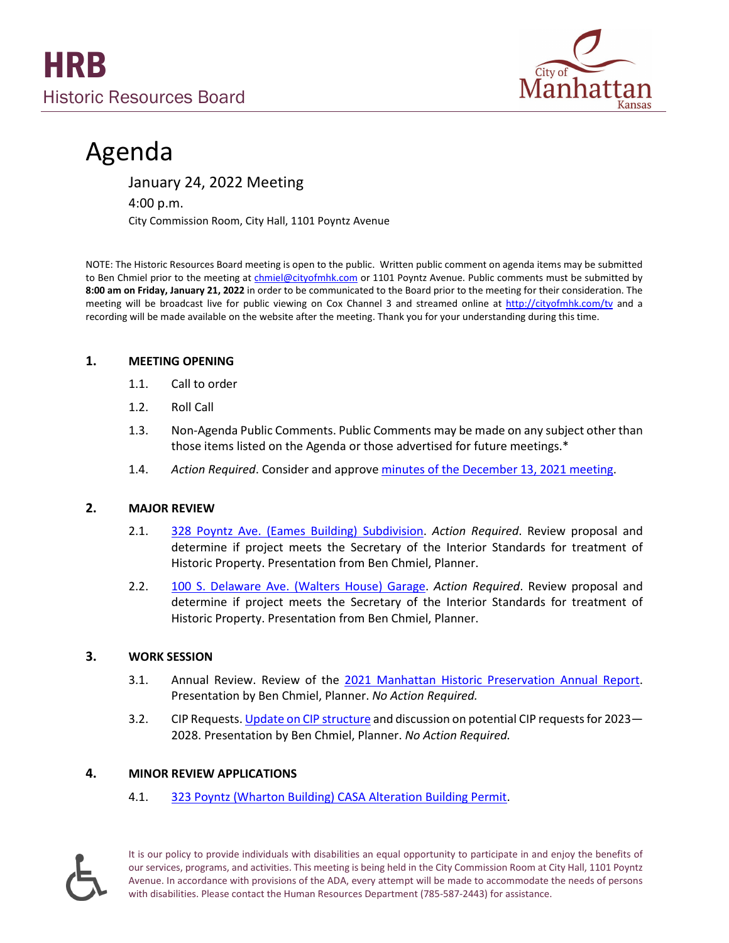

# Agenda

January 24, 2022 Meeting

4:00 p.m.

City Commission Room, City Hall, 1101 Poyntz Avenue

NOTE: The Historic Resources Board meeting is open to the public. Written public comment on agenda items may be submitted to Ben Chmiel prior to the meeting a[t chmiel@cityofmhk.com](mailto:chmiel@cityofmhk.com) or 1101 Poyntz Avenue. Public comments must be submitted by **8:00 am on Friday, January 21, 2022** in order to be communicated to the Board prior to the meeting for their consideration. The meeting will be broadcast live for public viewing on Cox Channel 3 and streamed online at <http://cityofmhk.com/tv> and a recording will be made available on the website after the meeting. Thank you for your understanding during this time.

### **1. MEETING OPENING**

- 1.1. Call to order
- 1.2. Roll Call
- 1.3. Non-Agenda Public Comments. Public Comments may be made on any subject other than those items listed on the Agenda or those advertised for future meetings.\*
- 1.4. *Action Required*. Consider and approve [minutes of the December 13, 2021 meeting.](https://cityofmhk.com/DocumentCenter/View/64427/121321)

# **2. MAJOR REVIEW**

- 2.1. 328 Poyntz [Ave. \(Eames Building\)](https://cityofmhk.com/DocumentCenter/View/64424/328-Poyntz-Packet) Subdivision. *Action Required*. Review proposal and determine if project meets the Secretary of the Interior Standards for treatment of Historic Property. Presentation from Ben Chmiel, Planner.
- 2.2. 100 S. Delaware Ave. [\(Walters House\) Garage.](https://cityofmhk.com/DocumentCenter/View/64422/100-S-Delaware-Packet) *Action Required*. Review proposal and determine if project meets the Secretary of the Interior Standards for treatment of Historic Property. Presentation from Ben Chmiel, Planner.

# **3. WORK SESSION**

- 3.1. Annual Review. Review of the [2021 Manhattan Historic Preservation Annual Report.](https://cityofmhk.com/DocumentCenter/View/64425/2021-Annual-Review-Packet) Presentation by Ben Chmiel, Planner. *No Action Required.*
- 3.2. CIP Requests. [Update on CIP](https://cityofmhk.com/DocumentCenter/View/64426/CIP-Packet) structure and discussion on potential CIP requests for 2023-2028. Presentation by Ben Chmiel, Planner. *No Action Required.*

# **4. MINOR REVIEW APPLICATIONS**

4.1. 323 Poyntz [\(Wharton Building\) CASA Alteration Building Permit.](https://cityofmhk.com/DocumentCenter/View/64423/323-Poyntz-Minor-Review-Packet)



It is our policy to provide individuals with disabilities an equal opportunity to participate in and enjoy the benefits of our services, programs, and activities. This meeting is being held in the City Commission Room at City Hall, 1101 Poyntz Avenue. In accordance with provisions of the ADA, every attempt will be made to accommodate the needs of persons with disabilities. Please contact the Human Resources Department (785-587-2443) for assistance.